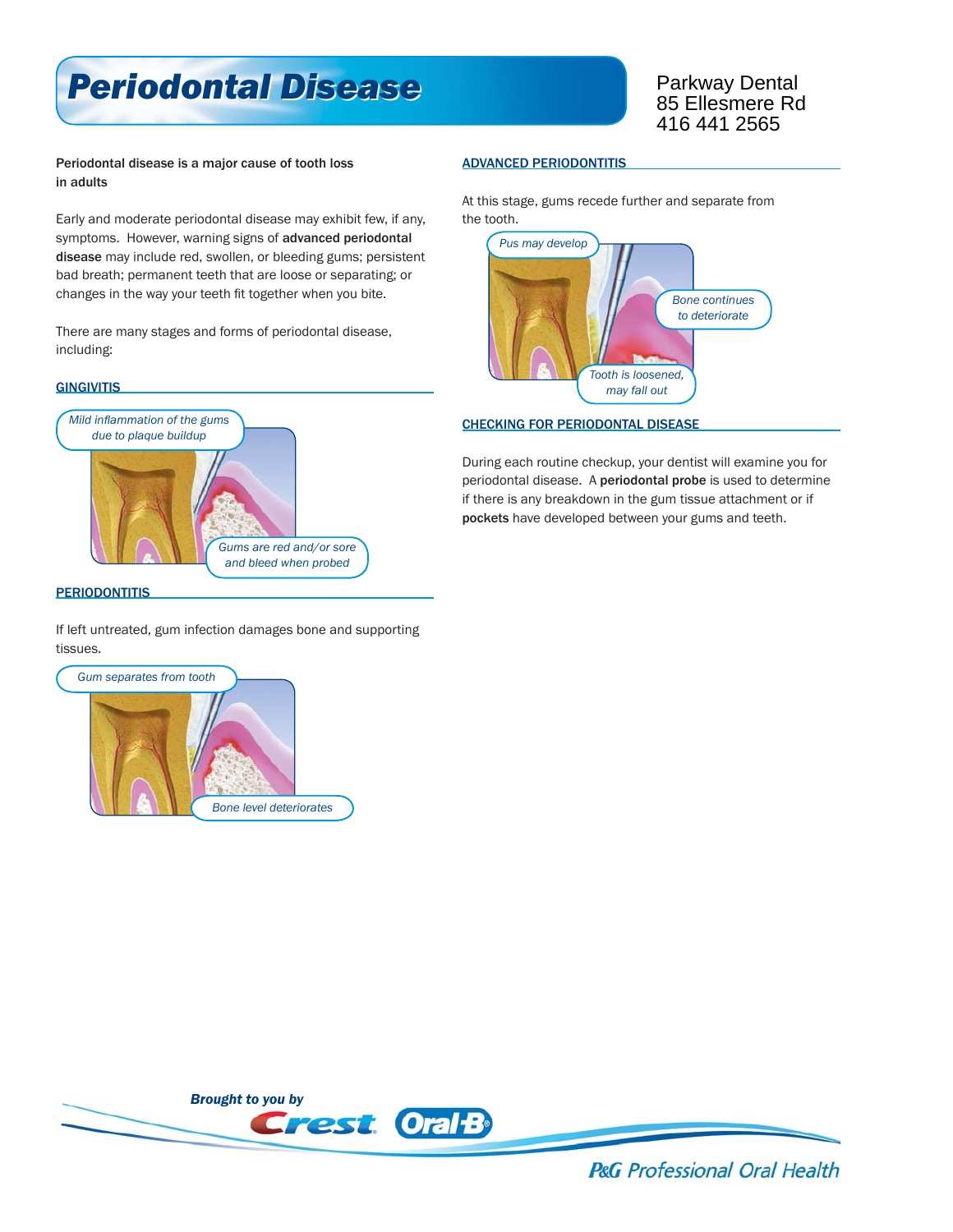# *Periodontal Disease Periodontal Disease*

Parkway Dental 85 Ellesmere Rd 416 441 2565

### Periodontal disease is a major cause of tooth loss in adults

Early and moderate periodontal disease may exhibit few, if any, symptoms. However, warning signs of advanced periodontal disease may include red, swollen, or bleeding gums; persistent bad breath; permanent teeth that are loose or separating; or changes in the way your teeth fit together when you bite.

There are many stages and forms of periodontal disease, including:

#### **GINGIVITIS**



## **PERIODONTITIS**

If left untreated, gum infection damages bone and supporting tissues.



#### ADVANCED PERIODONTITIS

At this stage, gums recede further and separate from the tooth.



#### CHECKING FOR PERIODONTAL DISEASE

During each routine checkup, your dentist will examine you for periodontal disease. A periodontal probe is used to determine if there is any breakdown in the gum tissue attachment or if pockets have developed between your gums and teeth.